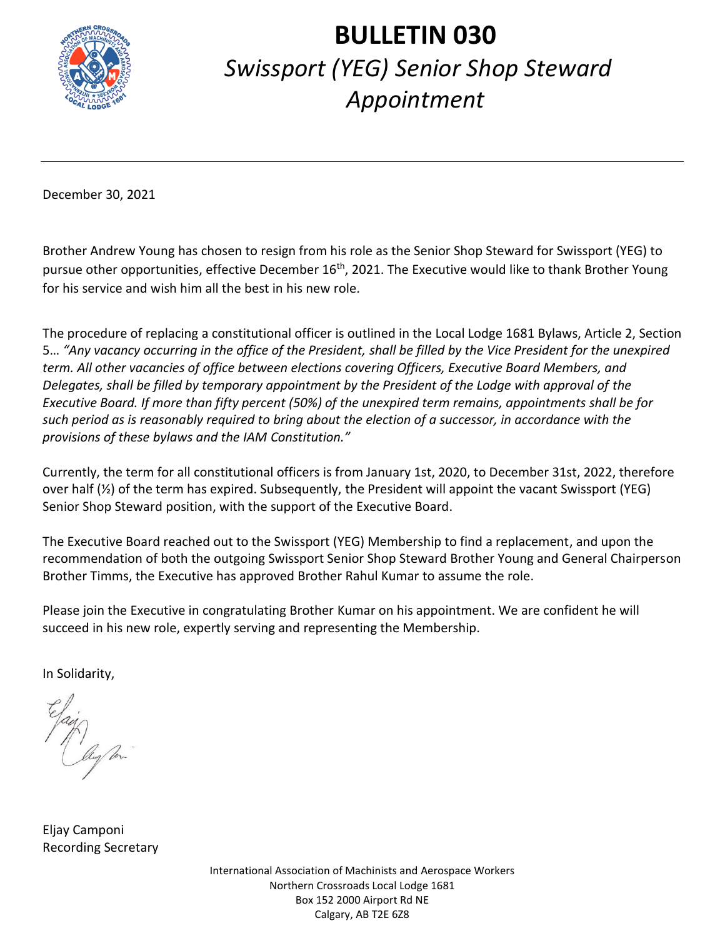

## **BULLETIN 030** *Swissport (YEG) Senior Shop Steward Appointment*

December 30, 2021

Brother Andrew Young has chosen to resign from his role as the Senior Shop Steward for Swissport (YEG) to pursue other opportunities, effective December 16<sup>th</sup>, 2021. The Executive would like to thank Brother Young for his service and wish him all the best in his new role.

The procedure of replacing a constitutional officer is outlined in the Local Lodge 1681 Bylaws, Article 2, Section 5… *"Any vacancy occurring in the office of the President, shall be filled by the Vice President for the unexpired term. All other vacancies of office between elections covering Officers, Executive Board Members, and Delegates, shall be filled by temporary appointment by the President of the Lodge with approval of the Executive Board. If more than fifty percent (50%) of the unexpired term remains, appointments shall be for such period as is reasonably required to bring about the election of a successor, in accordance with the provisions of these bylaws and the IAM Constitution."* 

Currently, the term for all constitutional officers is from January 1st, 2020, to December 31st, 2022, therefore over half (½) of the term has expired. Subsequently, the President will appoint the vacant Swissport (YEG) Senior Shop Steward position, with the support of the Executive Board.

The Executive Board reached out to the Swissport (YEG) Membership to find a replacement, and upon the recommendation of both the outgoing Swissport Senior Shop Steward Brother Young and General Chairperson Brother Timms, the Executive has approved Brother Rahul Kumar to assume the role.

Please join the Executive in congratulating Brother Kumar on his appointment. We are confident he will succeed in his new role, expertly serving and representing the Membership.

In Solidarity,

Eljay Camponi Recording Secretary

International Association of Machinists and Aerospace Workers Northern Crossroads Local Lodge 1681 Box 152 2000 Airport Rd NE Calgary, AB T2E 6Z8